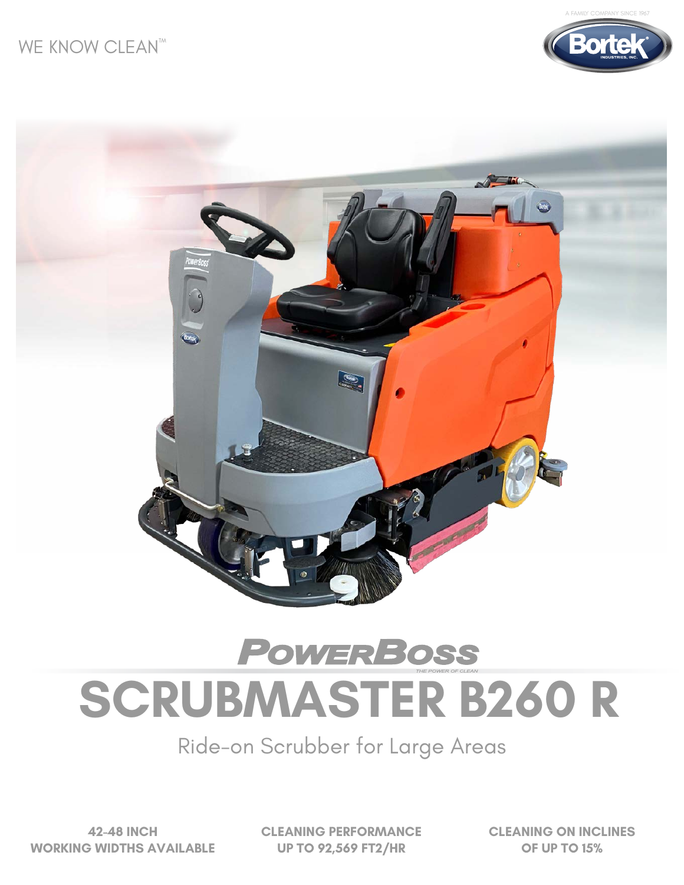





# **POWERBOSS SCRUBMASTER B260 R**

Ride-on Scrubber for Large Areas

**42-48 INCH WORKING WIDTHS AVAILABLE** **CLEANING PERFORMANCE UP TO 92,569 FT2/HR**

**CLEANING ON INCLINES OF UP TO 15%**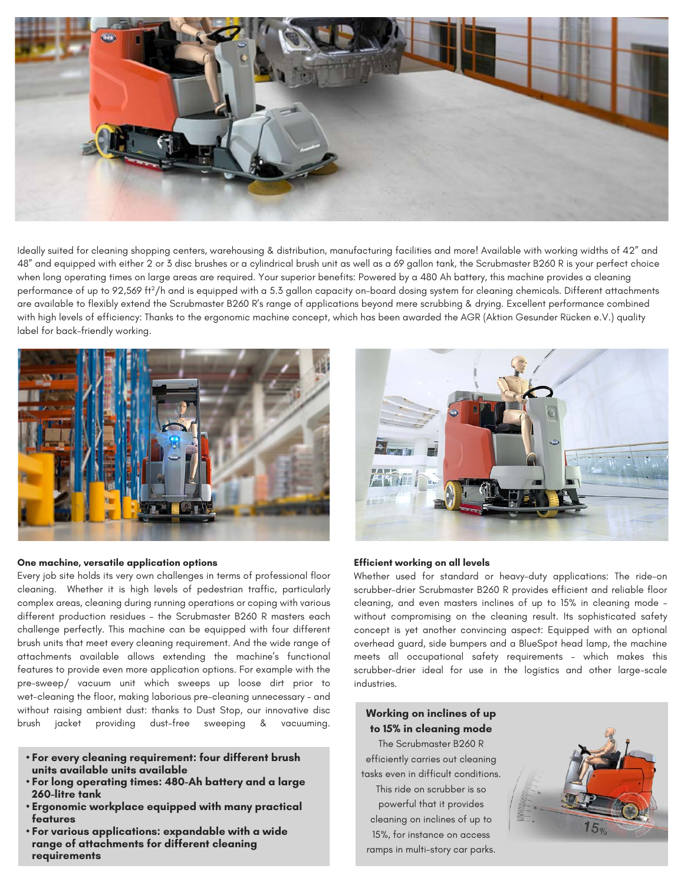

Ideally suited for cleaning shopping centers, warehousing & distribution, manufacturing facilities and more! Available with working widths of 42" and 48" and equipped with either 2 or 3 disc brushes or a cylindrical brush unit as well as a 69 gallon tank, the Scrubmaster B260 R is your perfect choice when long operating times on large areas are required. Your superior benefits: Powered by a 480 Ah battery, this machine provides a cleaning performance of up to 92,569 ft<sup>2</sup>/h and is equipped with a 5.3 gallon capacity on-board dosing system for cleaning chemicals. Different attachments are available to flexibly extend the Scrubmaster B260 R's range of applications beyond mere scrubbing & drying. Excellent performance combined with high levels of efficiency: Thanks to the ergonomic machine concept, which has been awarded the AGR (Aktion Gesunder Rücken e.V.) quality label for back-friendly working.



#### **One machine, versatile application options**

Every job site holds its very own challenges in terms of professional floor cleaning. Whether it is high levels of pedestrian traffic, particularly complex areas, cleaning during running operations or coping with various different production residues – the Scrubmaster B260 R masters each challenge perfectly. This machine can be equipped with four different brush units that meet every cleaning requirement. And the wide range of attachments available allows extending the machine's functional features to provide even more application options. For example with the pre-sweep/ vacuum unit which sweeps up loose dirt prior to wet-cleaning the floor, making laborious pre-cleaning unnecessary – and without raising ambient dust: thanks to Dust Stop, our innovative disc brush jacket providing dust-free sweeping & vacuuming.

- **For every cleaning requirement: four different brush units available units available**
- **For long operating times: 480-Ah battery and a large 260-litre tank**
- **Ergonomic workplace equipped with many practical features**
- **For various applications: expandable with a wide range of attachments for different cleaning requirements**



#### **Efficient working on all levels**

Whether used for standard or heavy-duty applications: The ride-on scrubber-drier Scrubmaster B260 R provides efficient and reliable floor cleaning, and even masters inclines of up to 15% in cleaning mode – without compromising on the cleaning result. Its sophisticated safety concept is yet another convincing aspect: Equipped with an optional overhead guard, side bumpers and a BlueSpot head lamp, the machine meets all occupational safety requirements – which makes this scrubber-drier ideal for use in the logistics and other large-scale industries.

### **Working on inclines of up to 15% in cleaning mode**

The Scrubmaster B260 R efficiently carries out cleaning tasks even in difficult conditions. This ride on scrubber is so powerful that it provides cleaning on inclines of up to 15%, for instance on access ramps in multi-story car parks.

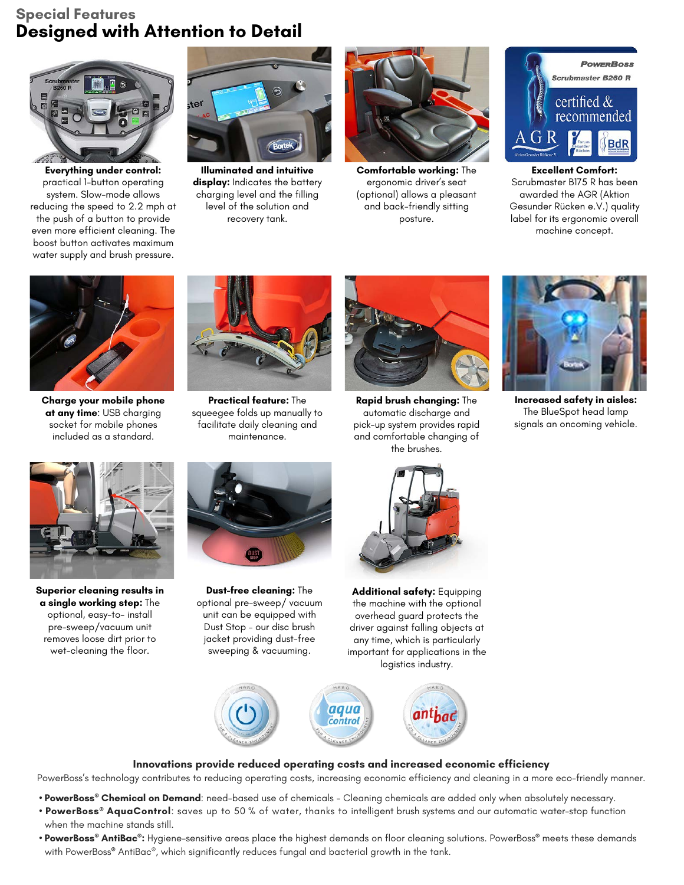## **Special Features Designed with Attention to Detail**



**Everything under control:**  practical 1-button operating system. Slow-mode allows reducing the speed to 2.2 mph at the push of a button to provide even more efficient cleaning. The boost button activates maximum water supply and brush pressure.



**Illuminated and intuitive**  display: Indicates the battery charging level and the filling level of the solution and recovery tank.



**Comfortable working:** The ergonomic driver's seat (optional) allows a pleasant and back-friendly sitting posture.



**Excellent Comfort:** Scrubmaster B175 R has been awarded the AGR (Aktion Gesunder Rücken e.V.) quality label for its ergonomic overall machine concept.



**Charge your mobile phone at any time**: USB charging socket for mobile phones included as a standard.



**Practical feature:** The squeegee folds up manually to facilitate daily cleaning and maintenance.



**Rapid brush changing:** The automatic discharge and pick-up system provides rapid and comfortable changing of the brushes.



**Increased safety in aisles:** The BlueSpot head lamp signals an oncoming vehicle.



**Superior cleaning results in a single working step:** The optional, easy-to- install pre-sweep/vacuum unit removes loose dirt prior to wet-cleaning the floor.



**Dust-free cleaning:** The optional pre-sweep/ vacuum unit can be equipped with Dust Stop – our disc brush jacket providing dust-free sweeping & vacuuming.



**Additional safety:** Equipping the machine with the optional overhead guard protects the driver against falling objects at any time, which is particularly important for applications in the logistics industry.



#### **Innovations provide reduced operating costs and increased economic efficiency**

PowerBoss's technology contributes to reducing operating costs, increasing economic efficiency and cleaning in a more eco-friendly manner.

- **PowerBoss® Chemical on Demand**: need-based use of chemicals Cleaning chemicals are added only when absolutely necessary.
- **PowerBoss® AquaControl**: saves up to 50 % of water, thanks to intelligent brush systems and our automatic water-stop function when the machine stands still.
- **PowerBoss® AntiBac®:** Hygiene-sensitive areas place the highest demands on floor cleaning solutions. PowerBoss**®** meets these demands with PowerBoss**®** AntiBac®, which significantly reduces fungal and bacterial growth in the tank.